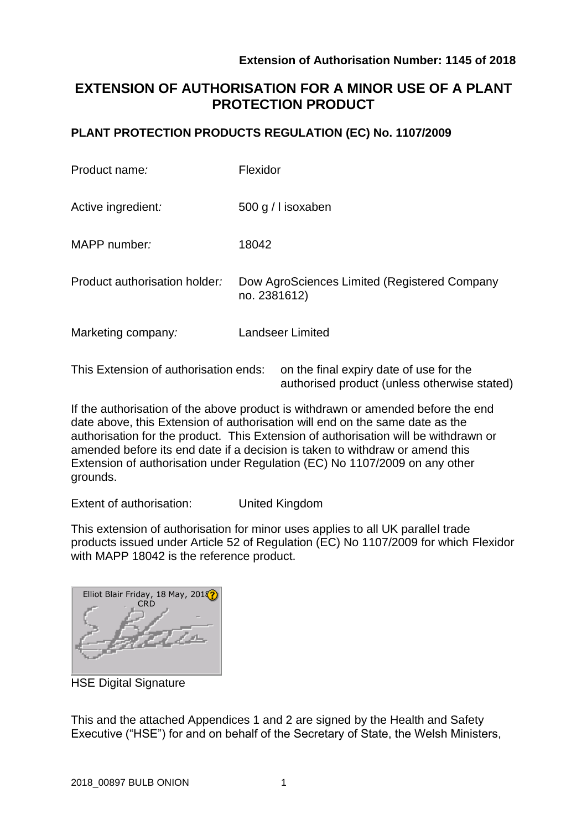authorised product (unless otherwise stated)

# **EXTENSION OF AUTHORISATION FOR A MINOR USE OF A PLANT PROTECTION PRODUCT**

### **PLANT PROTECTION PRODUCTS REGULATION (EC) No. 1107/2009**

| Product name:                         | Flexidor                                                     |  |  |  |
|---------------------------------------|--------------------------------------------------------------|--|--|--|
| Active ingredient:                    | 500 g / I isoxaben                                           |  |  |  |
| MAPP number:                          | 18042                                                        |  |  |  |
| Product authorisation holder:         | Dow AgroSciences Limited (Registered Company<br>no. 2381612) |  |  |  |
| Marketing company:                    | <b>Landseer Limited</b>                                      |  |  |  |
| This Extension of authorisation ends: | on the final expiry date of use for the                      |  |  |  |

If the authorisation of the above product is withdrawn or amended before the end date above, this Extension of authorisation will end on the same date as the authorisation for the product. This Extension of authorisation will be withdrawn or amended before its end date if a decision is taken to withdraw or amend this Extension of authorisation under Regulation (EC) No 1107/2009 on any other grounds.

Extent of authorisation: United Kingdom

This extension of authorisation for minor uses applies to all UK parallel trade products issued under Article 52 of Regulation (EC) No 1107/2009 for which Flexidor with MAPP 18042 is the reference product.

Elliot Blair Friday, 18 May, 2018 **CRD** 

HSE Digital Signature

This and the attached Appendices 1 and 2 are signed by the Health and Safety Executive ("HSE") for and on behalf of the Secretary of State, the Welsh Ministers,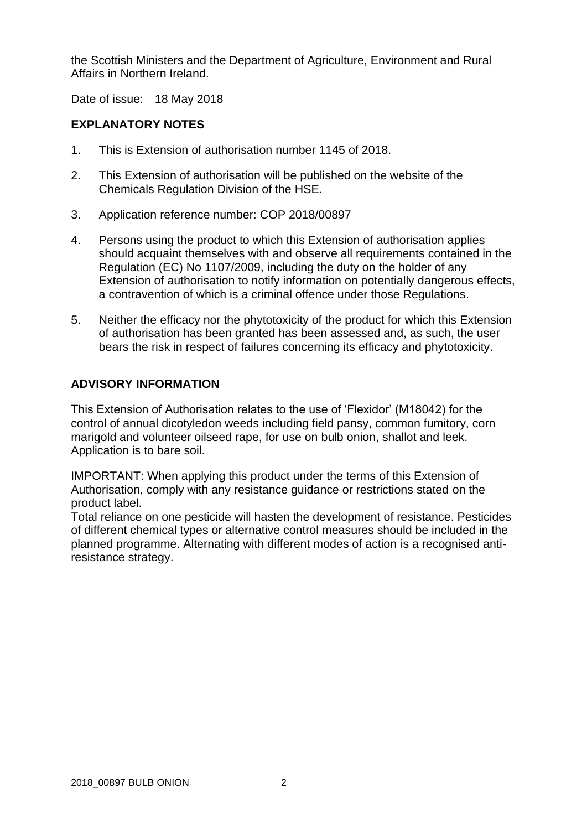the Scottish Ministers and the Department of Agriculture, Environment and Rural Affairs in Northern Ireland.

Date of issue: 18 May 2018

### **EXPLANATORY NOTES**

- 1. This is Extension of authorisation number 1145 of 2018.
- 2. This Extension of authorisation will be published on the website of the Chemicals Regulation Division of the HSE.
- 3. Application reference number: COP 2018/00897
- 4. Persons using the product to which this Extension of authorisation applies should acquaint themselves with and observe all requirements contained in the Regulation (EC) No 1107/2009, including the duty on the holder of any Extension of authorisation to notify information on potentially dangerous effects, a contravention of which is a criminal offence under those Regulations.
- 5. Neither the efficacy nor the phytotoxicity of the product for which this Extension of authorisation has been granted has been assessed and, as such, the user bears the risk in respect of failures concerning its efficacy and phytotoxicity.

### **ADVISORY INFORMATION**

This Extension of Authorisation relates to the use of 'Flexidor' (M18042) for the control of annual dicotyledon weeds including field pansy, common fumitory, corn marigold and volunteer oilseed rape, for use on bulb onion, shallot and leek. Application is to bare soil.

IMPORTANT: When applying this product under the terms of this Extension of Authorisation, comply with any resistance guidance or restrictions stated on the product label.

Total reliance on one pesticide will hasten the development of resistance. Pesticides of different chemical types or alternative control measures should be included in the planned programme. Alternating with different modes of action is a recognised antiresistance strategy.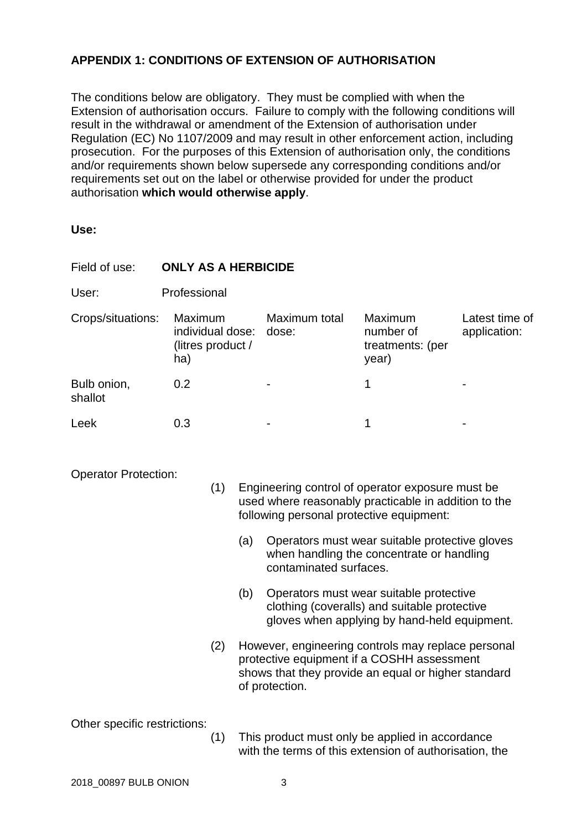## **APPENDIX 1: CONDITIONS OF EXTENSION OF AUTHORISATION**

The conditions below are obligatory. They must be complied with when the Extension of authorisation occurs. Failure to comply with the following conditions will result in the withdrawal or amendment of the Extension of authorisation under Regulation (EC) No 1107/2009 and may result in other enforcement action, including prosecution. For the purposes of this Extension of authorisation only, the conditions and/or requirements shown below supersede any corresponding conditions and/or requirements set out on the label or otherwise provided for under the product authorisation **which would otherwise apply**.

**Use:**

| Field of use:                | <b>ONLY AS A HERBICIDE</b>                                                                                                                                                                 |     |                                                                                                                                                                           |                                                      |                                                                                                                                         |                                |  |  |
|------------------------------|--------------------------------------------------------------------------------------------------------------------------------------------------------------------------------------------|-----|---------------------------------------------------------------------------------------------------------------------------------------------------------------------------|------------------------------------------------------|-----------------------------------------------------------------------------------------------------------------------------------------|--------------------------------|--|--|
| User:                        | Professional                                                                                                                                                                               |     |                                                                                                                                                                           |                                                      |                                                                                                                                         |                                |  |  |
| Crops/situations:            | Maximum<br>individual dose:<br>(litres product /<br>ha)                                                                                                                                    |     |                                                                                                                                                                           | Maximum total<br>dose:                               | Maximum<br>number of<br>treatments: (per<br>year)                                                                                       | Latest time of<br>application: |  |  |
| Bulb onion,<br>shallot       | 0.2                                                                                                                                                                                        |     |                                                                                                                                                                           |                                                      | 1                                                                                                                                       |                                |  |  |
| Leek                         | 0.3                                                                                                                                                                                        |     |                                                                                                                                                                           |                                                      | 1                                                                                                                                       |                                |  |  |
|                              | <b>Operator Protection:</b><br>(1)<br>Engineering control of operator exposure must be<br>used where reasonably practicable in addition to the<br>following personal protective equipment: |     |                                                                                                                                                                           |                                                      |                                                                                                                                         |                                |  |  |
|                              |                                                                                                                                                                                            | (a) |                                                                                                                                                                           |                                                      | Operators must wear suitable protective gloves<br>when handling the concentrate or handling<br>contaminated surfaces.                   |                                |  |  |
|                              |                                                                                                                                                                                            | (b) |                                                                                                                                                                           |                                                      | Operators must wear suitable protective<br>clothing (coveralls) and suitable protective<br>gloves when applying by hand-held equipment. |                                |  |  |
|                              |                                                                                                                                                                                            | (2) | However, engineering controls may replace personal<br>protective equipment if a COSHH assessment<br>shows that they provide an equal or higher standard<br>of protection. |                                                      |                                                                                                                                         |                                |  |  |
| Other specific restrictions: |                                                                                                                                                                                            |     |                                                                                                                                                                           | $(4)$ This product much only he confind in coordonos |                                                                                                                                         |                                |  |  |

(1) This product must only be applied in accordance with the terms of this extension of authorisation, the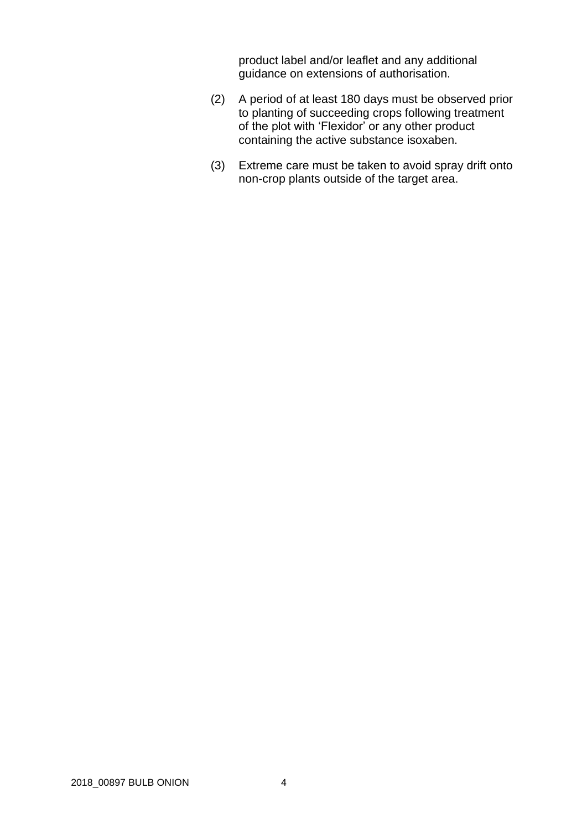product label and/or leaflet and any additional guidance on extensions of authorisation.

- (2) A period of at least 180 days must be observed prior to planting of succeeding crops following treatment of the plot with 'Flexidor' or any other product containing the active substance isoxaben.
- (3) Extreme care must be taken to avoid spray drift onto non-crop plants outside of the target area.